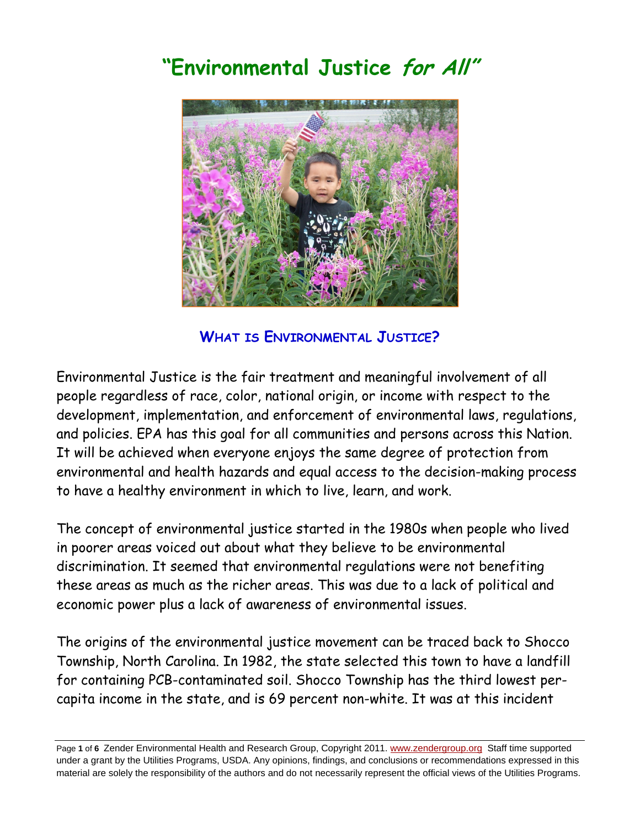# **"Environmental Justice for All"**



**WHAT IS ENVIRONMENTAL JUSTICE?** 

Environmental Justice is the fair treatment and meaningful involvement of all people regardless of race, color, national origin, or income with respect to the development, implementation, and enforcement of environmental laws, regulations, and policies. EPA has this goal for all communities and persons across this Nation. It will be achieved when everyone enjoys the same degree of protection from environmental and health hazards and equal access to the decision-making process to have a healthy environment in which to live, learn, and work.

The concept of environmental justice started in the 1980s when people who lived in poorer areas voiced out about what they believe to be environmental discrimination. It seemed that environmental regulations were not benefiting these areas as much as the richer areas. This was due to a lack of political and economic power plus a lack of awareness of environmental issues.

The origins of the environmental justice movement can be traced back to Shocco Township, North Carolina. In 1982, the state selected this town to have a landfill for containing PCB-contaminated soil. Shocco Township has the third lowest percapita income in the state, and is 69 percent non-white. It was at this incident

Page **1** of **6** Zender Environmental Health and Research Group, Copyright 2011. www.zendergroup.org Staff time supported under a grant by the Utilities Programs, USDA. Any opinions, findings, and conclusions or recommendations expressed in this material are solely the responsibility of the authors and do not necessarily represent the official views of the Utilities Programs.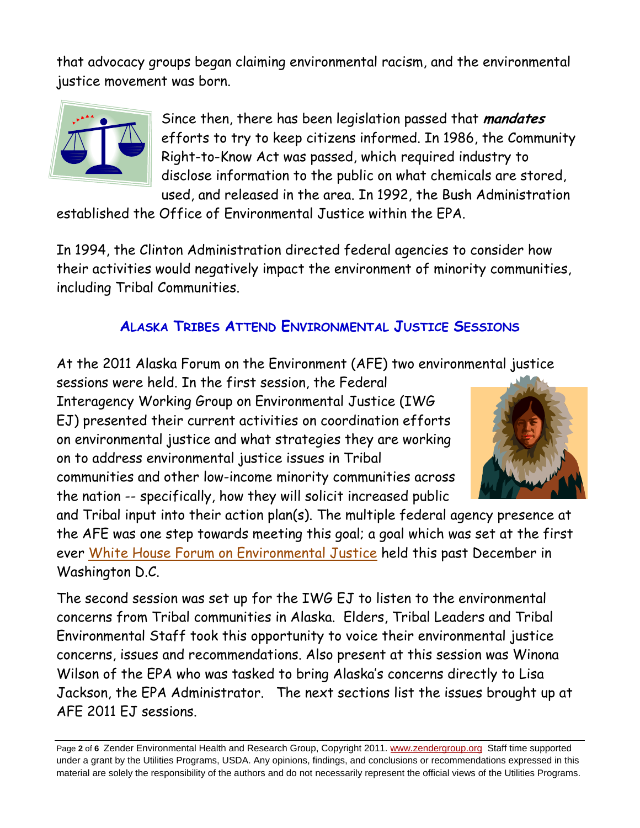that advocacy groups began claiming environmental racism, and the environmental justice movement was born.



Since then, there has been legislation passed that **mandates**  efforts to try to keep citizens informed. In 1986, the Community Right-to-Know Act was passed, which required industry to disclose information to the public on what chemicals are stored, used, and released in the area. In 1992, the Bush Administration

established the Office of Environmental Justice within the EPA.

In 1994, the Clinton Administration directed federal agencies to consider how their activities would negatively impact the environment of minority communities, including Tribal Communities.

## **ALASKA TRIBES ATTEND ENVIRONMENTAL JUSTICE SESSIONS**

At the 2011 Alaska Forum on the Environment (AFE) two environmental justice

sessions were held. In the first session, the Federal Interagency Working Group on Environmental Justice (IWG EJ) presented their current activities on coordination efforts on environmental justice and what strategies they are working on to address environmental justice issues in Tribal communities and other low-income minority communities across the nation -- specifically, how they will solicit increased public



and Tribal input into their action plan(s). The multiple federal agency presence at the AFE was one step towards meeting this goal; a goal which was set at the first ever White House Forum on Environmental Justice held this past December in Washington D.C.

The second session was set up for the IWG EJ to listen to the environmental concerns from Tribal communities in Alaska. Elders, Tribal Leaders and Tribal Environmental Staff took this opportunity to voice their environmental justice concerns, issues and recommendations. Also present at this session was Winona Wilson of the EPA who was tasked to bring Alaska's concerns directly to Lisa Jackson, the EPA Administrator. The next sections list the issues brought up at AFE 2011 EJ sessions.

Page **2** of **6** Zender Environmental Health and Research Group, Copyright 2011. www.zendergroup.org Staff time supported under a grant by the Utilities Programs, USDA. Any opinions, findings, and conclusions or recommendations expressed in this material are solely the responsibility of the authors and do not necessarily represent the official views of the Utilities Programs.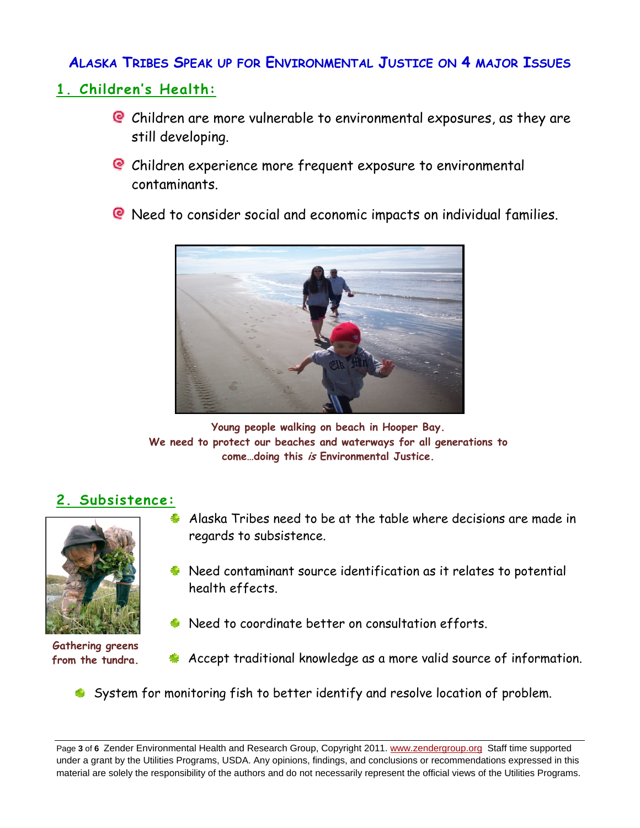### **ALASKA TRIBES SPEAK UP FOR ENVIRONMENTAL JUSTICE ON 4 MAJOR ISSUES**

## **1. Children's Health:**

- Children are more vulnerable to environmental exposures, as they are still developing.
- Children experience more frequent exposure to environmental contaminants.
- Need to consider social and economic impacts on individual families.



**Young people walking on beach in Hooper Bay. We need to protect our beaches and waterways for all generations to come…doing this is Environmental Justice.**

## **2. Subsistence:**



**Gathering greens from the tundra.** 

- Alaska Tribes need to be at the table where decisions are made in regards to subsistence.
- Need contaminant source identification as it relates to potential health effects.
- Need to coordinate better on consultation efforts.
- **Accept traditional knowledge as a more valid source of information.**
- System for monitoring fish to better identify and resolve location of problem.

Page **3** of **6** Zender Environmental Health and Research Group, Copyright 2011. www.zendergroup.org Staff time supported under a grant by the Utilities Programs, USDA. Any opinions, findings, and conclusions or recommendations expressed in this material are solely the responsibility of the authors and do not necessarily represent the official views of the Utilities Programs.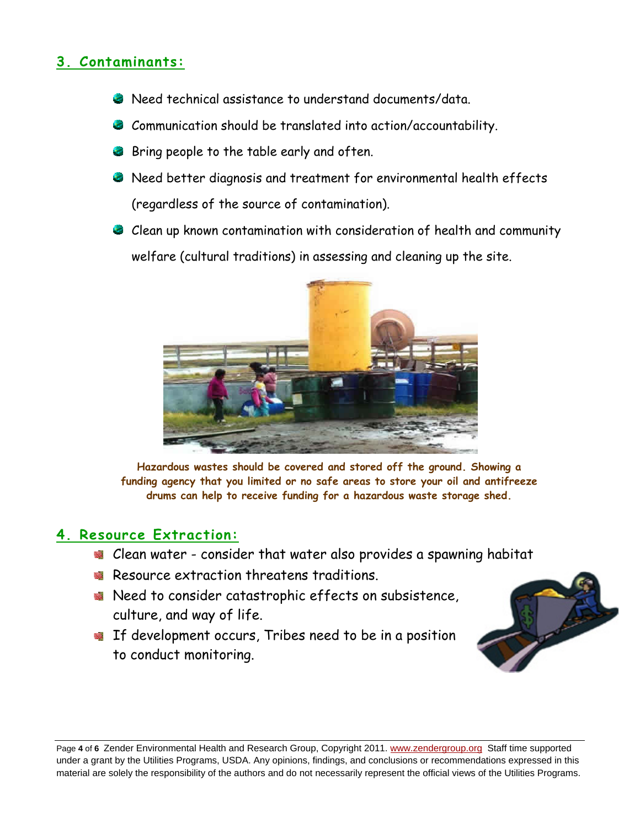## **3. Contaminants:**

- Need technical assistance to understand documents/data.
- Communication should be translated into action/accountability.
- Bring people to the table early and often.
- Need better diagnosis and treatment for environmental health effects (regardless of the source of contamination).
- Clean up known contamination with consideration of health and community welfare (cultural traditions) in assessing and cleaning up the site.



**Hazardous wastes should be covered and stored off the ground. Showing a funding agency that you limited or no safe areas to store your oil and antifreeze drums can help to receive funding for a hazardous waste storage shed.**

#### **4. Resource Extraction:**

- Clean water consider that water also provides a spawning habitat
- Resource extraction threatens traditions.
- Need to consider catastrophic effects on subsistence, culture, and way of life.
- If development occurs, Tribes need to be in a position to conduct monitoring.



Page **4** of **6** Zender Environmental Health and Research Group, Copyright 2011. www.zendergroup.org Staff time supported under a grant by the Utilities Programs, USDA. Any opinions, findings, and conclusions or recommendations expressed in this material are solely the responsibility of the authors and do not necessarily represent the official views of the Utilities Programs.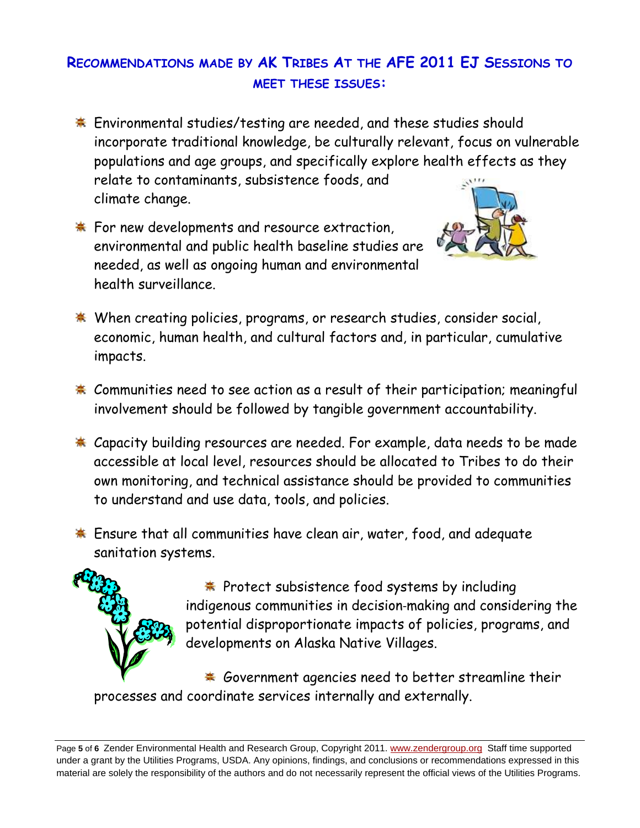# **RECOMMENDATIONS MADE BY AK TRIBES AT THE AFE 2011 EJ SESSIONS TO MEET THESE ISSUES:**

- **Environmental studies/testing are needed, and these studies should** incorporate traditional knowledge, be culturally relevant, focus on vulnerable populations and age groups, and specifically explore health effects as they relate to contaminants, subsistence foods, and climate change.
- For new developments and resource extraction, environmental and public health baseline studies are needed, as well as ongoing human and environmental health surveillance.



- **When creating policies, programs, or research studies, consider social,** economic, human health, and cultural factors and, in particular, cumulative impacts.
- \* Communities need to see action as a result of their participation; meaningful involvement should be followed by tangible government accountability.
- **\*** Capacity building resources are needed. For example, data needs to be made accessible at local level, resources should be allocated to Tribes to do their own monitoring, and technical assistance should be provided to communities to understand and use data, tools, and policies.
- Ensure that all communities have clean air, water, food, and adequate sanitation systems.



**\*** Protect subsistence food systems by including indigenous communities in decision‐making and considering the potential disproportionate impacts of policies, programs, and developments on Alaska Native Villages.

\* Government agencies need to better streamline their processes and coordinate services internally and externally.

Page **5** of **6** Zender Environmental Health and Research Group, Copyright 2011. www.zendergroup.org Staff time supported under a grant by the Utilities Programs, USDA. Any opinions, findings, and conclusions or recommendations expressed in this material are solely the responsibility of the authors and do not necessarily represent the official views of the Utilities Programs.